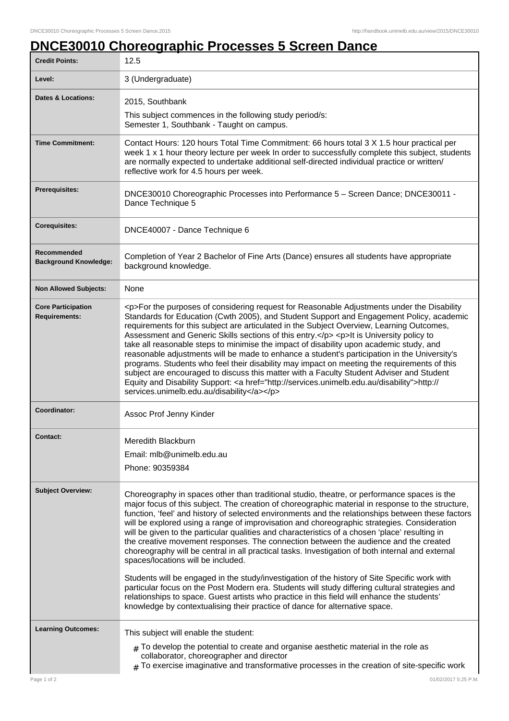## **DNCE30010 Choreographic Processes 5 Screen Dance**

| <b>Credit Points:</b>                       | 12.5                                                                                                                                                                                                                                                                                                                                                                                                                                                                                                                                                                                                                                                                                                                                                                                                                                                                                                                                                                                                                                                                                                                      |
|---------------------------------------------|---------------------------------------------------------------------------------------------------------------------------------------------------------------------------------------------------------------------------------------------------------------------------------------------------------------------------------------------------------------------------------------------------------------------------------------------------------------------------------------------------------------------------------------------------------------------------------------------------------------------------------------------------------------------------------------------------------------------------------------------------------------------------------------------------------------------------------------------------------------------------------------------------------------------------------------------------------------------------------------------------------------------------------------------------------------------------------------------------------------------------|
| Level:                                      | 3 (Undergraduate)                                                                                                                                                                                                                                                                                                                                                                                                                                                                                                                                                                                                                                                                                                                                                                                                                                                                                                                                                                                                                                                                                                         |
| <b>Dates &amp; Locations:</b>               | 2015, Southbank                                                                                                                                                                                                                                                                                                                                                                                                                                                                                                                                                                                                                                                                                                                                                                                                                                                                                                                                                                                                                                                                                                           |
|                                             | This subject commences in the following study period/s:<br>Semester 1, Southbank - Taught on campus.                                                                                                                                                                                                                                                                                                                                                                                                                                                                                                                                                                                                                                                                                                                                                                                                                                                                                                                                                                                                                      |
| <b>Time Commitment:</b>                     | Contact Hours: 120 hours Total Time Commitment: 66 hours total 3 X 1.5 hour practical per<br>week 1 x 1 hour theory lecture per week In order to successfully complete this subject, students<br>are normally expected to undertake additional self-directed individual practice or written/<br>reflective work for 4.5 hours per week.                                                                                                                                                                                                                                                                                                                                                                                                                                                                                                                                                                                                                                                                                                                                                                                   |
| Prerequisites:                              | DNCE30010 Choreographic Processes into Performance 5 - Screen Dance; DNCE30011 -<br>Dance Technique 5                                                                                                                                                                                                                                                                                                                                                                                                                                                                                                                                                                                                                                                                                                                                                                                                                                                                                                                                                                                                                     |
| <b>Corequisites:</b>                        | DNCE40007 - Dance Technique 6                                                                                                                                                                                                                                                                                                                                                                                                                                                                                                                                                                                                                                                                                                                                                                                                                                                                                                                                                                                                                                                                                             |
| Recommended<br><b>Background Knowledge:</b> | Completion of Year 2 Bachelor of Fine Arts (Dance) ensures all students have appropriate<br>background knowledge.                                                                                                                                                                                                                                                                                                                                                                                                                                                                                                                                                                                                                                                                                                                                                                                                                                                                                                                                                                                                         |
| <b>Non Allowed Subjects:</b>                | None                                                                                                                                                                                                                                                                                                                                                                                                                                                                                                                                                                                                                                                                                                                                                                                                                                                                                                                                                                                                                                                                                                                      |
| <b>Core Participation</b><br>Requirements:  | <p>For the purposes of considering request for Reasonable Adjustments under the Disability<br/>Standards for Education (Cwth 2005), and Student Support and Engagement Policy, academic<br/>requirements for this subject are articulated in the Subject Overview, Learning Outcomes,<br/>Assessment and Generic Skills sections of this entry.</p> <p>lt is University policy to<br/>take all reasonable steps to minimise the impact of disability upon academic study, and<br/>reasonable adjustments will be made to enhance a student's participation in the University's<br/>programs. Students who feel their disability may impact on meeting the requirements of this<br/>subject are encouraged to discuss this matter with a Faculty Student Adviser and Student<br/>Equity and Disability Support: &lt; a href="http://services.unimelb.edu.au/disability"&gt;http://<br/>services.unimelb.edu.au/disability</p>                                                                                                                                                                                              |
| Coordinator:                                | Assoc Prof Jenny Kinder                                                                                                                                                                                                                                                                                                                                                                                                                                                                                                                                                                                                                                                                                                                                                                                                                                                                                                                                                                                                                                                                                                   |
| <b>Contact:</b>                             | Meredith Blackburn<br>Email: mlb@unimelb.edu.au<br>Phone: 90359384                                                                                                                                                                                                                                                                                                                                                                                                                                                                                                                                                                                                                                                                                                                                                                                                                                                                                                                                                                                                                                                        |
| <b>Subject Overview:</b>                    | Choreography in spaces other than traditional studio, theatre, or performance spaces is the<br>major focus of this subject. The creation of choreographic material in response to the structure,<br>function, 'feel' and history of selected environments and the relationships between these factors<br>will be explored using a range of improvisation and choreographic strategies. Consideration<br>will be given to the particular qualities and characteristics of a chosen 'place' resulting in<br>the creative movement responses. The connection between the audience and the created<br>choreography will be central in all practical tasks. Investigation of both internal and external<br>spaces/locations will be included.<br>Students will be engaged in the study/investigation of the history of Site Specific work with<br>particular focus on the Post Modern era. Students will study differing cultural strategies and<br>relationships to space. Guest artists who practice in this field will enhance the students'<br>knowledge by contextualising their practice of dance for alternative space. |
| <b>Learning Outcomes:</b>                   | This subject will enable the student:<br>$_{\#}$ To develop the potential to create and organise aesthetic material in the role as<br>collaborator, choreographer and director<br>$#$ To exercise imaginative and transformative processes in the creation of site-specific work                                                                                                                                                                                                                                                                                                                                                                                                                                                                                                                                                                                                                                                                                                                                                                                                                                          |
| Page 1 of 2                                 | 01/02/2017 5:25 P.M.                                                                                                                                                                                                                                                                                                                                                                                                                                                                                                                                                                                                                                                                                                                                                                                                                                                                                                                                                                                                                                                                                                      |